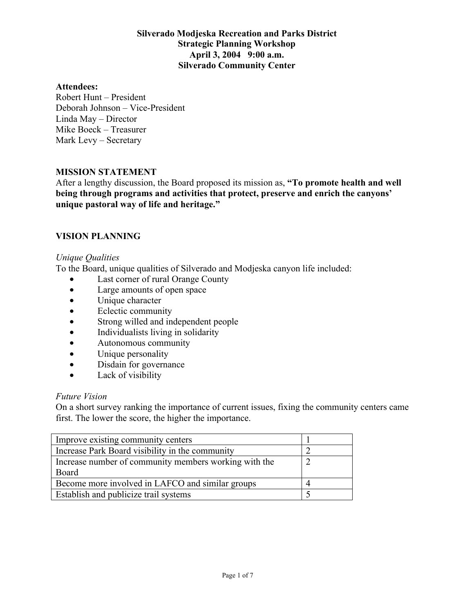#### **Attendees:**

Robert Hunt – President Deborah Johnson – Vice-President Linda May – Director Mike Boeck – Treasurer Mark Levy – Secretary

#### **MISSION STATEMENT**

After a lengthy discussion, the Board proposed its mission as, **"To promote health and well being through programs and activities that protect, preserve and enrich the canyons' unique pastoral way of life and heritage."**

## **VISION PLANNING**

#### *Unique Qualities*

To the Board, unique qualities of Silverado and Modjeska canyon life included:

- Last corner of rural Orange County
- Large amounts of open space
- Unique character
- Eclectic community
- Strong willed and independent people
- Individualists living in solidarity
- Autonomous community
- Unique personality
- Disdain for governance
- Lack of visibility

#### *Future Vision*

On a short survey ranking the importance of current issues, fixing the community centers came first. The lower the score, the higher the importance.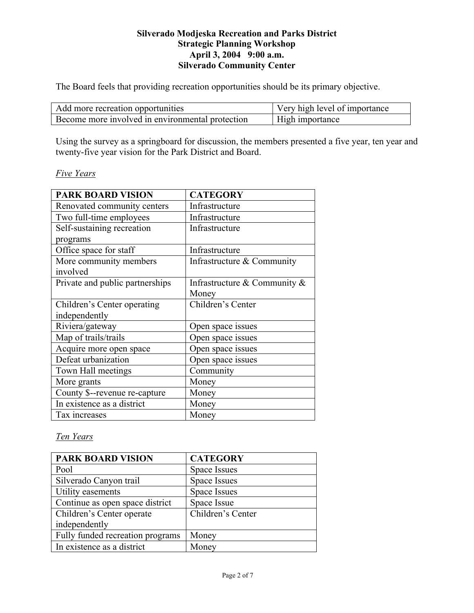The Board feels that providing recreation opportunities should be its primary objective.

| Add more recreation opportunities                | Very high level of importance |
|--------------------------------------------------|-------------------------------|
| Become more involved in environmental protection | High importance               |

Using the survey as a springboard for discussion, the members presented a five year, ten year and twenty-five year vision for the Park District and Board.

## *Five Years*

| <b>PARK BOARD VISION</b>        | <b>CATEGORY</b>                 |
|---------------------------------|---------------------------------|
| Renovated community centers     | Infrastructure                  |
| Two full-time employees         | Infrastructure                  |
| Self-sustaining recreation      | Infrastructure                  |
| programs                        |                                 |
| Office space for staff          | Infrastructure                  |
| More community members          | Infrastructure & Community      |
| involved                        |                                 |
| Private and public partnerships | Infrastructure & Community $\&$ |
|                                 | Money                           |
| Children's Center operating     | Children's Center               |
| independently                   |                                 |
| Riviera/gateway                 | Open space issues               |
| Map of trails/trails            | Open space issues               |
| Acquire more open space         | Open space issues               |
| Defeat urbanization             | Open space issues               |
| Town Hall meetings              | Community                       |
| More grants                     | Money                           |
| County \$--revenue re-capture   | Money                           |
| In existence as a district      | Money                           |
| Tax increases                   | Money                           |

# *Ten Years*

| <b>PARK BOARD VISION</b>         | <b>CATEGORY</b>   |
|----------------------------------|-------------------|
| Pool                             | Space Issues      |
| Silverado Canyon trail           | Space Issues      |
| Utility easements                | Space Issues      |
| Continue as open space district  | Space Issue       |
| Children's Center operate        | Children's Center |
| independently                    |                   |
| Fully funded recreation programs | Money             |
| In existence as a district       | Money             |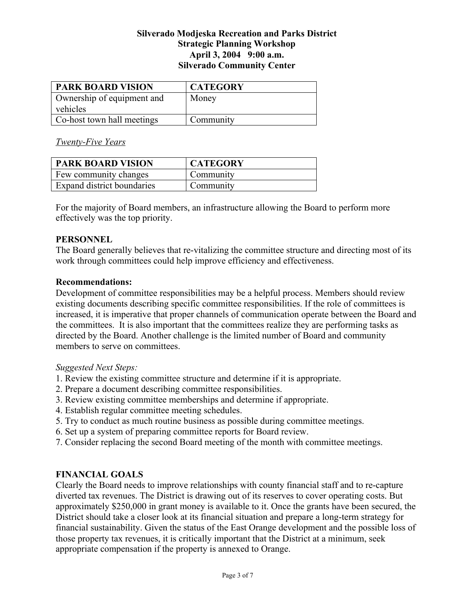| <b>PARK BOARD VISION</b>   | <b>CATEGORY</b> |
|----------------------------|-----------------|
| Ownership of equipment and | Money           |
| vehicles                   |                 |
| Co-host town hall meetings | Community       |

*Twenty-Five Years*

| <b>PARK BOARD VISION</b>          | <b>CATEGORY</b> |
|-----------------------------------|-----------------|
| <b>Few community changes</b>      | Community       |
| <b>Expand district boundaries</b> | Community       |

For the majority of Board members, an infrastructure allowing the Board to perform more effectively was the top priority.

#### **PERSONNEL**

The Board generally believes that re-vitalizing the committee structure and directing most of its work through committees could help improve efficiency and effectiveness.

#### **Recommendations:**

Development of committee responsibilities may be a helpful process. Members should review existing documents describing specific committee responsibilities. If the role of committees is increased, it is imperative that proper channels of communication operate between the Board and the committees. It is also important that the committees realize they are performing tasks as directed by the Board. Another challenge is the limited number of Board and community members to serve on committees.

## *Suggested Next Steps:*

- 1. Review the existing committee structure and determine if it is appropriate.
- 2. Prepare a document describing committee responsibilities.
- 3. Review existing committee memberships and determine if appropriate.
- 4. Establish regular committee meeting schedules.
- 5. Try to conduct as much routine business as possible during committee meetings.
- 6. Set up a system of preparing committee reports for Board review.
- 7. Consider replacing the second Board meeting of the month with committee meetings.

## **FINANCIAL GOALS**

Clearly the Board needs to improve relationships with county financial staff and to re-capture diverted tax revenues. The District is drawing out of its reserves to cover operating costs. But approximately \$250,000 in grant money is available to it. Once the grants have been secured, the District should take a closer look at its financial situation and prepare a long-term strategy for financial sustainability. Given the status of the East Orange development and the possible loss of those property tax revenues, it is critically important that the District at a minimum, seek appropriate compensation if the property is annexed to Orange.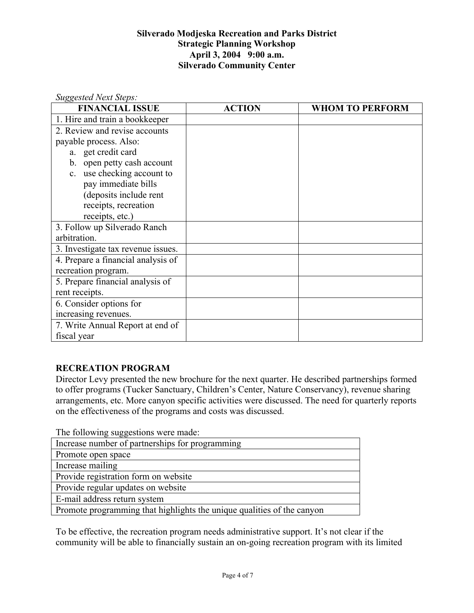| <b>Suggested Next Steps:</b>       |               |                        |
|------------------------------------|---------------|------------------------|
| <b>FINANCIAL ISSUE</b>             | <b>ACTION</b> | <b>WHOM TO PERFORM</b> |
| 1. Hire and train a bookkeeper     |               |                        |
| 2. Review and revise accounts      |               |                        |
| payable process. Also:             |               |                        |
| a. get credit card                 |               |                        |
| b. open petty cash account         |               |                        |
| use checking account to<br>$c_{-}$ |               |                        |
| pay immediate bills                |               |                        |
| (deposits include rent             |               |                        |
| receipts, recreation               |               |                        |
| receipts, etc.)                    |               |                        |
| 3. Follow up Silverado Ranch       |               |                        |
| arbitration.                       |               |                        |
| 3. Investigate tax revenue issues. |               |                        |
| 4. Prepare a financial analysis of |               |                        |
| recreation program.                |               |                        |
| 5. Prepare financial analysis of   |               |                        |
| rent receipts.                     |               |                        |
| 6. Consider options for            |               |                        |
| increasing revenues.               |               |                        |
| 7. Write Annual Report at end of   |               |                        |
| fiscal year                        |               |                        |

# **RECREATION PROGRAM**

Director Levy presented the new brochure for the next quarter. He described partnerships formed to offer programs (Tucker Sanctuary, Children's Center, Nature Conservancy), revenue sharing arrangements, etc. More canyon specific activities were discussed. The need for quarterly reports on the effectiveness of the programs and costs was discussed.

The following suggestions were made:

| Increase number of partnerships for programming                        |
|------------------------------------------------------------------------|
| Promote open space                                                     |
| Increase mailing                                                       |
| Provide registration form on website                                   |
| Provide regular updates on website                                     |
| E-mail address return system                                           |
| Promote programming that highlights the unique qualities of the canyon |
|                                                                        |

To be effective, the recreation program needs administrative support. It's not clear if the community will be able to financially sustain an on-going recreation program with its limited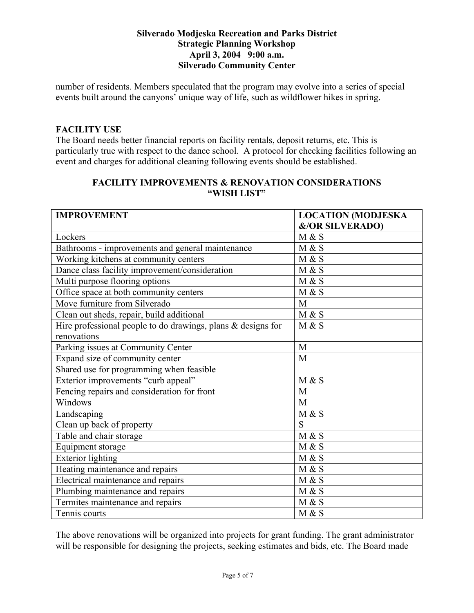number of residents. Members speculated that the program may evolve into a series of special events built around the canyons' unique way of life, such as wildflower hikes in spring.

# **FACILITY USE**

The Board needs better financial reports on facility rentals, deposit returns, etc. This is particularly true with respect to the dance school. A protocol for checking facilities following an event and charges for additional cleaning following events should be established.

#### **FACILITY IMPROVEMENTS & RENOVATION CONSIDERATIONS "WISH LIST"**

| <b>IMPROVEMENT</b>                                              | <b>LOCATION (MODJESKA</b>  |
|-----------------------------------------------------------------|----------------------------|
|                                                                 | <b>&amp;/OR SILVERADO)</b> |
| Lockers                                                         | M & S                      |
| Bathrooms - improvements and general maintenance                | M & S                      |
| Working kitchens at community centers                           | M & S                      |
| Dance class facility improvement/consideration                  | M & S                      |
| Multi purpose flooring options                                  | M & S                      |
| Office space at both community centers                          | M & S                      |
| Move furniture from Silverado                                   | M                          |
| Clean out sheds, repair, build additional                       | M & S                      |
| Hire professional people to do drawings, plans $\&$ designs for | M & S                      |
| renovations                                                     |                            |
| Parking issues at Community Center                              | M                          |
| Expand size of community center                                 | M                          |
| Shared use for programming when feasible                        |                            |
| Exterior improvements "curb appeal"                             | M & S                      |
| Fencing repairs and consideration for front                     | M                          |
| Windows                                                         | M                          |
| Landscaping                                                     | M & S                      |
| Clean up back of property                                       | S                          |
| Table and chair storage                                         | M & S                      |
| Equipment storage                                               | M & S                      |
| <b>Exterior lighting</b>                                        | M & S                      |
| Heating maintenance and repairs                                 | M & S                      |
| Electrical maintenance and repairs                              | M & S                      |
| Plumbing maintenance and repairs                                | M & S                      |
| Termites maintenance and repairs                                | M & S                      |
| Tennis courts                                                   | M & S                      |

The above renovations will be organized into projects for grant funding. The grant administrator will be responsible for designing the projects, seeking estimates and bids, etc. The Board made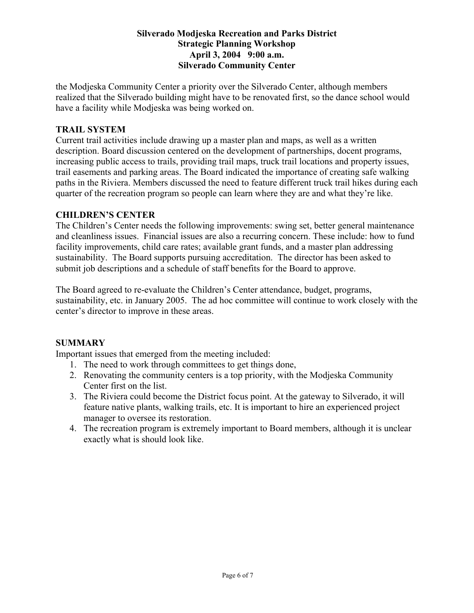the Modjeska Community Center a priority over the Silverado Center, although members realized that the Silverado building might have to be renovated first, so the dance school would have a facility while Modjeska was being worked on.

## **TRAIL SYSTEM**

Current trail activities include drawing up a master plan and maps, as well as a written description. Board discussion centered on the development of partnerships, docent programs, increasing public access to trails, providing trail maps, truck trail locations and property issues, trail easements and parking areas. The Board indicated the importance of creating safe walking paths in the Riviera. Members discussed the need to feature different truck trail hikes during each quarter of the recreation program so people can learn where they are and what they're like.

# **CHILDREN'S CENTER**

The Children's Center needs the following improvements: swing set, better general maintenance and cleanliness issues. Financial issues are also a recurring concern. These include: how to fund facility improvements, child care rates; available grant funds, and a master plan addressing sustainability. The Board supports pursuing accreditation. The director has been asked to submit job descriptions and a schedule of staff benefits for the Board to approve.

The Board agreed to re-evaluate the Children's Center attendance, budget, programs, sustainability, etc. in January 2005. The ad hoc committee will continue to work closely with the center's director to improve in these areas.

# **SUMMARY**

Important issues that emerged from the meeting included:

- 1. The need to work through committees to get things done,
- 2. Renovating the community centers is a top priority, with the Modjeska Community Center first on the list.
- 3. The Riviera could become the District focus point. At the gateway to Silverado, it will feature native plants, walking trails, etc. It is important to hire an experienced project manager to oversee its restoration.
- 4. The recreation program is extremely important to Board members, although it is unclear exactly what is should look like.